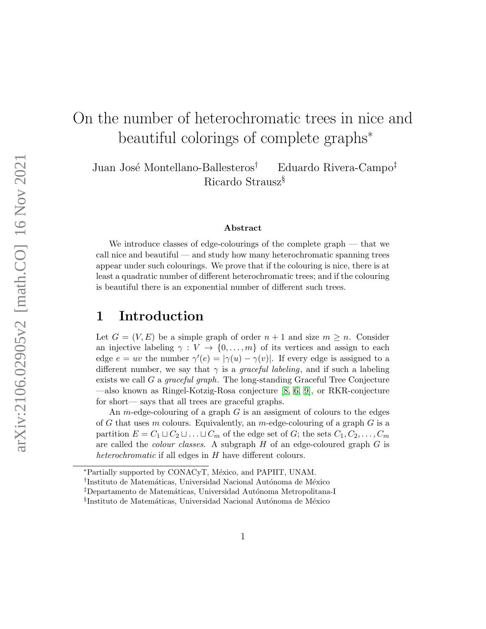# On the number of heterochromatic trees in nice and beautiful colorings of complete graphs<sup>∗</sup>

Juan José Montellano-Ballesteros<sup>†</sup> Eduardo Rivera-Campo<sup>‡</sup> Ricardo Strausz $\S$ 

#### Abstract

We introduce classes of edge-colourings of the complete graph — that we call nice and beautiful — and study how many heterochromatic spanning trees appear under such colourings. We prove that if the colouring is nice, there is at least a quadratic number of different heterochromatic trees; and if the colouring is beautiful there is an exponential number of different such trees.

#### 1 Introduction

Let  $G = (V, E)$  be a simple graph of order  $n + 1$  and size  $m \geq n$ . Consider an injective labeling  $\gamma: V \to \{0, \ldots, m\}$  of its vertices and assign to each edge  $e = uv$  the number  $\gamma'(e) = |\gamma(u) - \gamma(v)|$ . If every edge is assigned to a different number, we say that  $\gamma$  is a *graceful labeling*, and if such a labeling exists we call G a *graceful graph*. The long-standing Graceful Tree Conjecture —also known as Ringel-Kotzig-Rosa conjecture [\[8,](#page-10-0) [6,](#page-10-1) [9\]](#page-10-2), or RKR-conjecture for short— says that all trees are graceful graphs.

An *m*-edge-colouring of a graph  $G$  is an assigment of colours to the edges of G that uses m colours. Equivalently, an m-edge-colouring of a graph  $G$  is a partition  $E = C_1 \sqcup C_2 \sqcup \ldots \sqcup C_m$  of the edge set of G; the sets  $C_1, C_2, \ldots, C_m$ are called the *colour classes*. A subgraph  $H$  of an edge-coloured graph  $G$  is heterochromatic if all edges in H have different colours.

<sup>∗</sup>Partially supported by CONACyT, M´exico, and PAPIIT, UNAM.

<sup>&</sup>lt;sup>†</sup>Instituto de Matemáticas, Universidad Nacional Autónoma de México

<sup>&</sup>lt;sup>‡</sup>Departamento de Matemáticas, Universidad Autónoma Metropolitana-I

 $\S$ Instituto de Matemáticas, Universidad Nacional Autónoma de México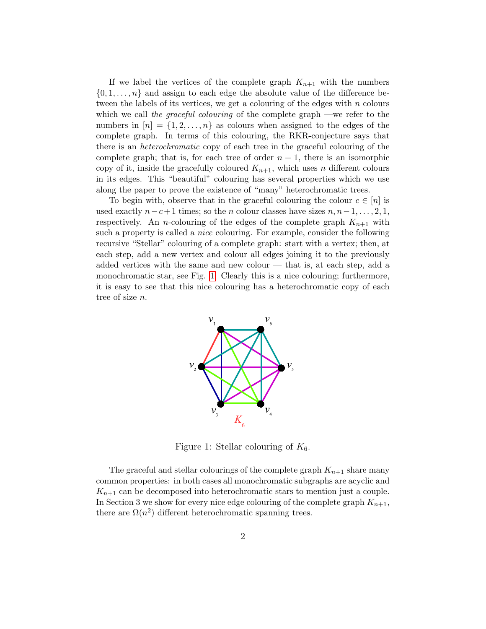If we label the vertices of the complete graph  $K_{n+1}$  with the numbers  $\{0, 1, \ldots, n\}$  and assign to each edge the absolute value of the difference between the labels of its vertices, we get a colouring of the edges with  $n$  colours which we call the graceful colouring of the complete graph —we refer to the numbers in  $[n] = \{1, 2, \ldots, n\}$  as colours when assigned to the edges of the complete graph. In terms of this colouring, the RKR-conjecture says that there is an heterochromatic copy of each tree in the graceful colouring of the complete graph; that is, for each tree of order  $n + 1$ , there is an isomorphic copy of it, inside the gracefully coloured  $K_{n+1}$ , which uses n different colours in its edges. This "beautiful" colouring has several properties which we use along the paper to prove the existence of "many" heterochromatic trees.

To begin with, observe that in the graceful colouring the colour  $c \in [n]$  is used exactly  $n-c+1$  times; so the n colour classes have sizes  $n, n-1, \ldots, 2, 1$ , respectively. An *n*-colouring of the edges of the complete graph  $K_{n+1}$  with such a property is called a nice colouring. For example, consider the following recursive "Stellar" colouring of a complete graph: start with a vertex; then, at each step, add a new vertex and colour all edges joining it to the previously added vertices with the same and new colour — that is, at each step, add a monochromatic star, see Fig. [1.](#page-1-0) Clearly this is a nice colouring; furthermore, it is easy to see that this nice colouring has a heterochromatic copy of each tree of size n.



<span id="page-1-0"></span>Figure 1: Stellar colouring of  $K_6$ .

The graceful and stellar colourings of the complete graph  $K_{n+1}$  share many common properties: in both cases all monochromatic subgraphs are acyclic and  $K_{n+1}$  can be decomposed into heterochromatic stars to mention just a couple. In Section 3 we show for every nice edge colouring of the complete graph  $K_{n+1}$ , there are  $\Omega(n^2)$  different heterochromatic spanning trees.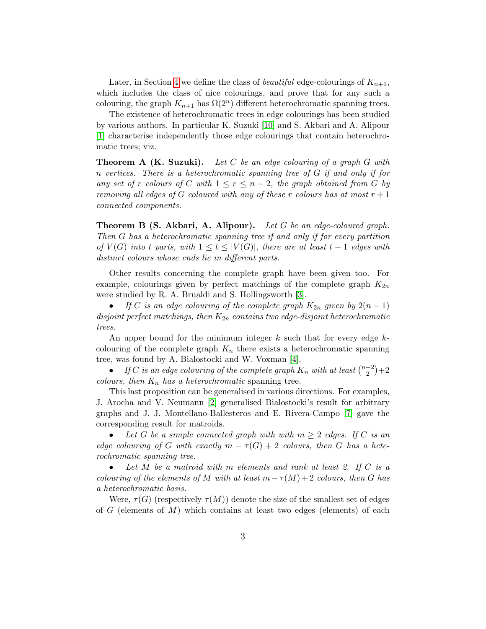Later, in Section [4](#page-7-0) we define the class of *beautiful* edge-colourings of  $K_{n+1}$ , which includes the class of nice colourings, and prove that for any such a colouring, the graph  $K_{n+1}$  has  $\Omega(2^n)$  different heterochromatic spanning trees.

The existence of heterochromatic trees in edge colourings has been studied by various authors. In particular K. Suzuki [\[10\]](#page-10-3) and S. Akbari and A. Alipour [\[1\]](#page-10-4) characterise independently those edge colourings that contain heterochromatic trees; viz.

**Theorem A (K. Suzuki).** Let C be an edge colouring of a graph G with n vertices. There is a heterochromatic spanning tree of G if and only if for any set of r colours of C with  $1 \leq r \leq n-2$ , the graph obtained from G by removing all edges of G coloured with any of these r colours has at most  $r+1$ connected components.

**Theorem B (S. Akbari, A. Alipour).** Let G be an edge-coloured graph. Then G has a heterochromatic spanning tree if and only if for every partition of  $V(G)$  into t parts, with  $1 \le t \le |V(G)|$ , there are at least  $t-1$  edges with distinct colours whose ends lie in different parts.

Other results concerning the complete graph have been given too. For example, colourings given by perfect matchings of the complete graph  $K_{2n}$ were studied by R. A. Brualdi and S. Hollingsworth [\[3\]](#page-10-5).

If C is an edge colouring of the complete graph  $K_{2n}$  given by  $2(n-1)$ disjoint perfect matchings, then  $K_{2n}$  contains two edge-disjoint heterochromatic trees.

An upper bound for the minimum integer  $k$  such that for every edge  $k$ colouring of the complete graph  $K_n$  there exists a heterochromatic spanning tree, was found by A. Bialostocki and W. Voxman [\[4\]](#page-10-6).

• If C is an edge colouring of the complete graph  $K_n$  with at least  $\binom{n-2}{2}$  $^{-2}_{2})+2$ colours, then  $K_n$  has a heterochromatic spanning tree.

This last proposition can be generalised in various directions. For examples, J. Arocha and V. Neumann [\[2\]](#page-10-7) generalised Bialostocki's result for arbitrary graphs and J. J. Montellano-Ballesteros and E. Rivera-Campo [\[7\]](#page-10-8) gave the corresponding result for matroids.

Let G be a simple connected graph with with  $m \geq 2$  edges. If C is an edge colouring of G with exactly  $m - \tau(G) + 2$  colours, then G has a heterochromatic spanning tree.

• Let M be a matroid with m elements and rank at least 2. If C is a colouring of the elements of M with at least  $m - \tau(M) + 2$  colours, then G has a heterochromatic basis.

Were,  $\tau(G)$  (respectively  $\tau(M)$ ) denote the size of the smallest set of edges of  $G$  (elements of  $M$ ) which contains at least two edges (elements) of each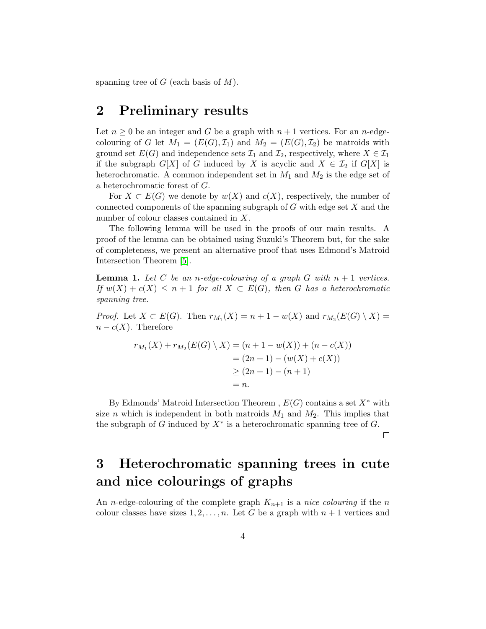spanning tree of  $G$  (each basis of  $M$ ).

### 2 Preliminary results

Let  $n \geq 0$  be an integer and G be a graph with  $n + 1$  vertices. For an n-edgecolouring of G let  $M_1 = (E(G), \mathcal{I}_1)$  and  $M_2 = (E(G), \mathcal{I}_2)$  be matroids with ground set  $E(G)$  and independence sets  $\mathcal{I}_1$  and  $\mathcal{I}_2$ , respectively, where  $X \in \mathcal{I}_1$ if the subgraph  $G[X]$  of G induced by X is acyclic and  $X \in \mathcal{I}_2$  if  $G[X]$  is heterochromatic. A common independent set in  $M_1$  and  $M_2$  is the edge set of a heterochromatic forest of G.

For  $X \text{ }\subset E(G)$  we denote by  $w(X)$  and  $c(X)$ , respectively, the number of connected components of the spanning subgraph of  $G$  with edge set  $X$  and the number of colour classes contained in X.

The following lemma will be used in the proofs of our main results. A proof of the lemma can be obtained using Suzuki's Theorem but, for the sake of completeness, we present an alternative proof that uses Edmond's Matroid Intersection Theorem [\[5\]](#page-10-9).

<span id="page-3-0"></span>**Lemma 1.** Let C be an n-edge-colouring of a graph G with  $n + 1$  vertices. If  $w(X) + c(X) \leq n+1$  for all  $X \subset E(G)$ , then G has a heterochromatic spanning tree.

*Proof.* Let  $X \subset E(G)$ . Then  $r_{M_1}(X) = n + 1 - w(X)$  and  $r_{M_2}(E(G) \setminus X) =$  $n - c(X)$ . Therefore

$$
r_{M_1}(X) + r_{M_2}(E(G) \setminus X) = (n + 1 - w(X)) + (n - c(X))
$$
  
= (2n + 1) - (w(X) + c(X))  

$$
\geq (2n + 1) - (n + 1)
$$
  
= n.

By Edmonds' Matroid Intersection Theorem ,  $E(G)$  contains a set  $X^*$  with size *n* which is independent in both matroids  $M_1$  and  $M_2$ . This implies that the subgraph of G induced by  $X^*$  is a heterochromatic spanning tree of G.

 $\Box$ 

## 3 Heterochromatic spanning trees in cute and nice colourings of graphs

An *n*-edge-colouring of the complete graph  $K_{n+1}$  is a *nice colouring* if the *n* colour classes have sizes  $1, 2, ..., n$ . Let G be a graph with  $n + 1$  vertices and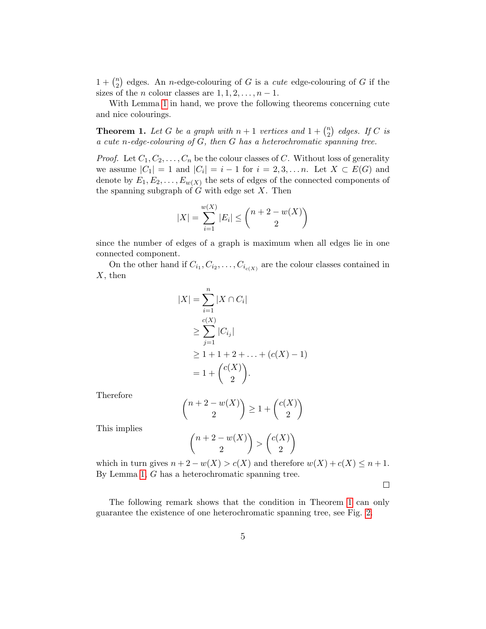$1 + {n \choose 2}$  $n_2$ ) edges. An *n*-edge-colouring of G is a *cute* edge-colouring of G if the sizes of the *n* colour classes are  $1, 1, 2, \ldots, n - 1$ .

With Lemma [1](#page-3-0) in hand, we prove the following theorems concerning cute and nice colourings.

<span id="page-4-0"></span>**Theorem 1.** Let G be a graph with  $n+1$  vertices and  $1 + \binom{n}{2}$  $\binom{n}{2}$  edges. If C is a cute n-edge-colouring of G, then G has a heterochromatic spanning tree.

*Proof.* Let  $C_1, C_2, \ldots, C_n$  be the colour classes of C. Without loss of generality we assume  $|C_1| = 1$  and  $|C_i| = i - 1$  for  $i = 2, 3, \ldots n$ . Let  $X \subset E(G)$  and denote by  $E_1, E_2, \ldots, E_{w(X)}$  the sets of edges of the connected components of the spanning subgraph of  $G$  with edge set  $X$ . Then

$$
|X| = \sum_{i=1}^{w(X)} |E_i| \le \binom{n+2-w(X)}{2}
$$

since the number of edges of a graph is maximum when all edges lie in one connected component.

On the other hand if  $C_{i_1}, C_{i_2}, \ldots, C_{i_{c(X)}}$  are the colour classes contained in  $X$ , then

$$
|X| = \sum_{i=1}^{n} |X \cap C_i|
$$
  
\n
$$
\geq \sum_{j=1}^{c(X)} |C_{i_j}|
$$
  
\n
$$
\geq 1 + 1 + 2 + \dots + (c(X) - 1)
$$
  
\n
$$
= 1 + {c(X) \choose 2}.
$$

Therefore

$$
\binom{n+2-w(X)}{2} \ge 1 + \binom{c(X)}{2}
$$

This implies

$$
\binom{n+2-w(X)}{2} > \binom{c(X)}{2}
$$

which in turn gives  $n + 2 - w(X) > c(X)$  and therefore  $w(X) + c(X) \leq n + 1$ . By Lemma [1,](#page-3-0) G has a heterochromatic spanning tree.

 $\Box$ 

The following remark shows that the condition in Theorem [1](#page-4-0) can only guarantee the existence of one heterochromatic spanning tree, see Fig. [2.](#page-5-0)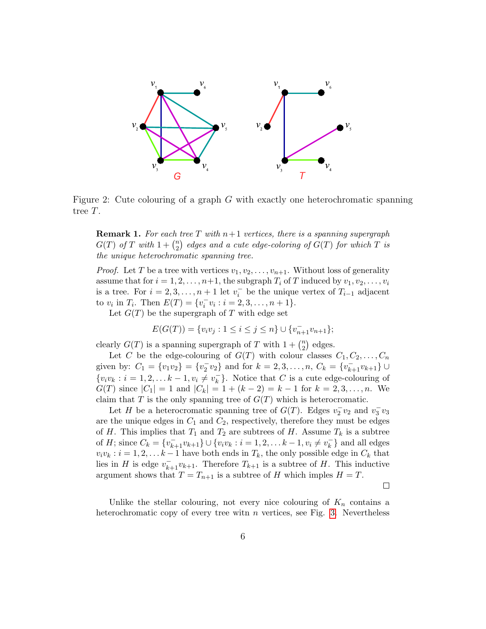

<span id="page-5-0"></span>Figure 2: Cute colouring of a graph G with exactly one heterochromatic spanning tree T.

**Remark 1.** For each tree T with  $n+1$  vertices, there is a spanning supergraph  $G(T)$  of T with  $1 + {n \choose 2}$  $\binom{n}{2}$  edges and a cute edge-coloring of  $G(T)$  for which  $T$  is the unique heterochromatic spanning tree.

*Proof.* Let T be a tree with vertices  $v_1, v_2, \ldots, v_{n+1}$ . Without loss of generality assume that for  $i = 1, 2, \ldots, n+1$ , the subgraph  $T_i$  of T induced by  $v_1, v_2, \ldots, v_i$ is a tree. For  $i = 2, 3, ..., n + 1$  let  $v_i^-$  be the unique vertex of  $T_{i-1}$  adjacent to  $v_i$  in  $T_i$ . Then  $E(T) = \{v_i^- v_i : i = 2, 3, ..., n + 1\}$ .

Let  $G(T)$  be the supergraph of T with edge set

$$
E(G(T)) = \{v_i v_j : 1 \le i \le j \le n\} \cup \{v_{n+1}^- v_{n+1}\};
$$

clearly  $G(T)$  is a spanning supergraph of T with  $1 + {n \choose 2}$  $n \choose 2$  edges.

Let C be the edge-colouring of  $G(T)$  with colour classes  $C_1, C_2, \ldots, C_n$ given by:  $C_1 = \{v_1v_2\} = \{v_2^0v_2\}$  and for  $k = 2, 3, ..., n$ ,  $C_k = \{v_{k+1}^0v_{k+1}\} \cup$  ${v_i v_k : i = 1, 2, \ldots k - 1, v_i \neq v_k^-}$  $\begin{bmatrix} - \\ k \end{bmatrix}$ . Notice that C is a cute edge-colouring of  $G(T)$  since  $|C_1| = 1$  and  $|C_k| = 1 + (k-2) = k-1$  for  $k = 2, 3, ..., n$ . We claim that T is the only spanning tree of  $G(T)$  which is heterocromatic.

Let H be a heterocromatic spanning tree of  $G(T)$ . Edges  $v_2^- v_2$  and  $v_3^- v_3$ are the unique edges in  $C_1$  and  $C_2$ , respectively, therefore they must be edges of H. This implies that  $T_1$  and  $T_2$  are subtrees of H. Assume  $T_k$  is a subtree of *H*; since  $C_k = \{v_{k+1}^-\ v_{k+1}\} \cup \{v_i v_k : i = 1, 2, \dots k-1, v_i \neq v_k^-\}$  $\left\{k\atop k\right\}$  and all edges  $v_i v_k : i = 1, 2, \dots k-1$  have both ends in  $T_k$ , the only possible edge in  $C_k$  that lies in H is edge  $v_{k+1}$  $v_{k+1}$ . Therefore  $T_{k+1}$  is a subtree of H. This inductive argument shows that  $T = T_{n+1}$  is a subtree of H which imples  $H = T$ .

 $\Box$ 

Unlike the stellar colouring, not every nice colouring of  $K_n$  contains a heterochromatic copy of every tree witn  $n$  vertices, see Fig. [3.](#page-6-0) Nevertheless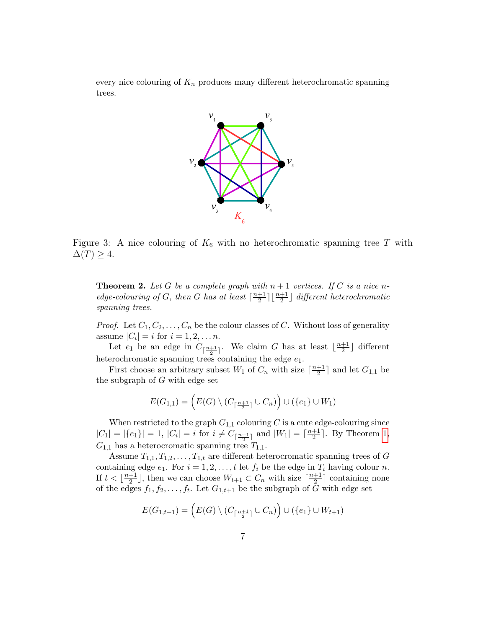every nice colouring of  $K_n$  produces many different heterochromatic spanning trees.



<span id="page-6-0"></span>Figure 3: A nice colouring of  $K_6$  with no heterochromatic spanning tree T with  $\Delta(T) \geq 4$ .

**Theorem 2.** Let G be a complete graph with  $n+1$  vertices. If C is a nice nedge-colouring of G, then G has at least  $\lceil \frac{n+1}{2} \rceil$  $\frac{+1}{2}$  $\lfloor \frac{n+1}{2} \rfloor$  different heterochromatic spanning trees.

*Proof.* Let  $C_1, C_2, \ldots, C_n$  be the colour classes of C. Without loss of generality assume  $|C_i| = i$  for  $i = 1, 2, \ldots n$ .

Let  $e_1$  be an edge in  $C_{\lceil \frac{n+1}{2} \rceil}$ . We claim G has at least  $\lfloor \frac{n+1}{2} \rfloor$  $\frac{+1}{2}$  different heterochromatic spanning trees containing the edge  $e_1$ .

First choose an arbitrary subset  $W_1$  of  $C_n$  with size  $\lceil \frac{n+1}{2} \rceil$  $\frac{+1}{2}$  and let  $G_{1,1}$  be the subgraph of G with edge set

$$
E(G_{1,1}) = \left(E(G) \setminus (C_{\lceil \frac{n+1}{2} \rceil} \cup C_n)\right) \cup (\{e_1\} \cup W_1)
$$

When restricted to the graph  $G_{1,1}$  colouring C is a cute edge-colouring since  $|C_1| = |\{e_1\}| = 1, |C_i| = i \text{ for } i \neq C_{\lceil \frac{n+1}{2} \rceil} \text{ and } |W_1| = \lceil \frac{n+1}{2} \rceil$  $\frac{+1}{2}$ . By Theorem [1,](#page-4-0)  $G_{1,1}$  has a heterocromatic spanning tree  $T_{1,1}$ .

Assume  $T_{1,1}, T_{1,2}, \ldots, T_{1,t}$  are different heterocromatic spanning trees of G containing edge  $e_1$ . For  $i = 1, 2, ..., t$  let  $f_i$  be the edge in  $T_i$  having colour n. If  $t < \left\lfloor \frac{n+1}{2} \right\rfloor$  $\frac{+1}{2}$ , then we can choose  $W_{t+1} \subset C_n$  with size  $\lceil \frac{n+1}{2} \rceil$  $\frac{+1}{2}$  containing none of the edges  $f_1, f_2, \ldots, f_t$ . Let  $G_{1,t+1}$  be the subgraph of G with edge set

$$
E(G_{1,t+1}) = \left(E(G) \setminus (C_{\lceil \frac{n+1}{2} \rceil} \cup C_n)\right) \cup (\{e_1\} \cup W_{t+1})
$$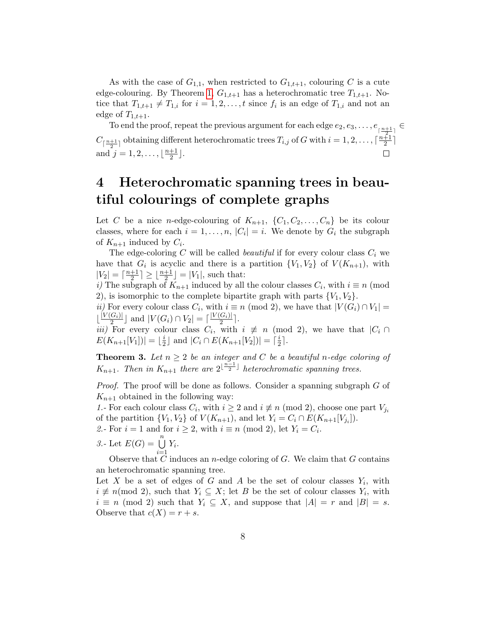As with the case of  $G_{1,1}$ , when restricted to  $G_{1,t+1}$ , colouring C is a cute edge-colouring. By Theorem [1,](#page-4-0)  $G_{1,t+1}$  has a heterochromatic tree  $T_{1,t+1}$ . Notice that  $T_{1,t+1} \neq T_{1,i}$  for  $i = 1, 2, \ldots, t$  since  $f_i$  is an edge of  $T_{1,i}$  and not an edge of  $T_{1,t+1}$ .

To end the proof, repeat the previous argument for each edge  $e_2, e_3, \ldots, e_{\lceil \frac{n+1}{2} \rceil} \in$  $C_{\lceil \frac{n+1}{2}\rceil}$  obtaining different heterochromatic trees  $T_{i,j}$  of G with  $i = 1, 2, ..., \lceil \frac{n+1}{2} \rceil$  $rac{+1}{2}$ ] and  $j = 1, 2, \ldots, \lfloor \frac{n+1}{2} \rfloor$  $\frac{+1}{2}$ .  $\Box$ 

## <span id="page-7-0"></span>4 Heterochromatic spanning trees in beautiful colourings of complete graphs

Let C be a nice n-edge-colouring of  $K_{n+1}$ ,  $\{C_1, C_2, \ldots, C_n\}$  be its colour classes, where for each  $i = 1, ..., n$ ,  $|C_i| = i$ . We denote by  $G_i$  the subgraph of  $K_{n+1}$  induced by  $C_i$ .

The edge-coloring  $C$  will be called *beautiful* if for every colour class  $C_i$  we have that  $G_i$  is acyclic and there is a partition  $\{V_1, V_2\}$  of  $V(K_{n+1})$ , with  $|V_2| = \lceil \frac{n+1}{2} \rceil$  $\lfloor \frac{+1}{2} \rfloor \ge \lfloor \frac{n+1}{2} \rfloor = |V_1|$ , such that:

i) The subgraph of  $K_{n+1}$  induced by all the colour classes  $C_i$ , with  $i \equiv n \pmod{N}$ 2), is isomorphic to the complete bipartite graph with parts  ${V_1, V_2}$ .

*ii*) For every colour class  $C_i$ , with  $i \equiv n \pmod{2}$ , we have that  $|V(G_i) \cap V_1|$  =  $\lfloor \frac{|V(G_i)|}{2} \rfloor$  $\lfloor \frac{|G_i|}{2} \rfloor$  and  $|V(G_i) \cap V_2| = \lceil \frac{|V(G_i)|}{2} \rceil$  $rac{G_i|}{2}$ .

*iii*) For every colour class  $C_i$ , with  $i \neq n \pmod{2}$ , we have that  $|C_i \cap C_i|$  $E(K_{n+1}[V_1]) = \lfloor \frac{i}{2} \rfloor$  $\frac{i}{2}$  and  $|C_i \cap E(K_{n+1}[V_2])| = \lceil \frac{i}{2} \rceil$  $\frac{i}{2}$ .

<span id="page-7-1"></span>**Theorem 3.** Let  $n \geq 2$  be an integer and C be a beautiful n-edge coloring of  $K_{n+1}$ . Then in  $K_{n+1}$  there are  $2^{\lfloor \frac{n-1}{2} \rfloor}$  heterochromatic spanning trees.

Proof. The proof will be done as follows. Consider a spanning subgraph G of  $K_{n+1}$  obtained in the following way:

1.- For each colour class  $C_i$ , with  $i \geq 2$  and  $i \not\equiv n \pmod{2}$ , choose one part  $V_{j_i}$ of the partition  $\{V_1, V_2\}$  of  $V(K_{n+1})$ , and let  $Y_i = C_i \cap E(K_{n+1}[V_{j_i}])$ . 2.- For  $i = 1$  and for  $i \geq 2$ , with  $i \equiv n \pmod{2}$ , let  $Y_i = C_i$ .

3.- Let  $E(G) = \bigcup_{i=1}^{n} Y_i$ .

Observe that C induces an *n*-edge coloring of G. We claim that G contains an heterochromatic spanning tree.

Let X be a set of edges of G and A be the set of colour classes  $Y_i$ , with  $i \neq n \pmod{2}$ , such that  $Y_i \subseteq X$ ; let B be the set of colour classes  $Y_i$ , with  $i \equiv n \pmod{2}$  such that  $Y_i \subseteq X$ , and suppose that  $|A| = r$  and  $|B| = s$ . Observe that  $c(X) = r + s$ .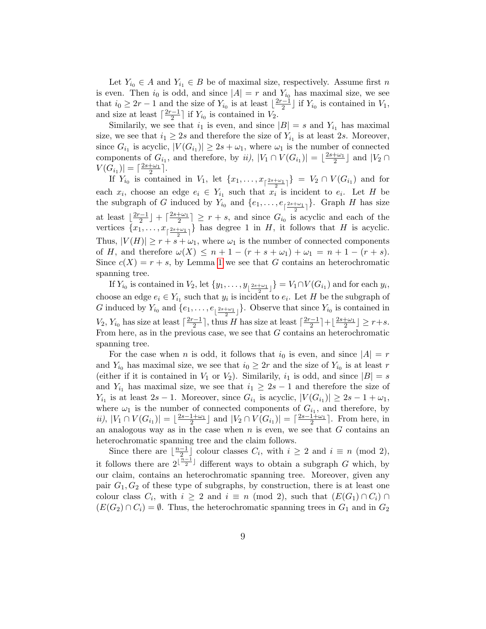Let  $Y_{i_0} \in A$  and  $Y_{i_1} \in B$  be of maximal size, respectively. Assume first n is even. Then  $i_0$  is odd, and since  $|A| = r$  and  $Y_{i_0}$  has maximal size, we see that  $i_0 \geq 2r - 1$  and the size of  $Y_{i_0}$  is at least  $\lfloor \frac{2r-1}{2} \rfloor$  $\frac{c-1}{2}$  if  $Y_{i_0}$  is contained in  $V_1$ , and size at least  $\lceil \frac{2r-1}{2} \rceil$  $\frac{q-1}{2}$  if  $Y_{i_0}$  is contained in  $V_2$ .

Similarily, we see that  $i_1$  is even, and since  $|B| = s$  and  $Y_{i_1}$  has maximal size, we see that  $i_1 \geq 2s$  and therefore the size of  $Y_{i_1}$  is at least 2s. Moreover, since  $G_{i_1}$  is acyclic,  $|V(G_{i_1})| \geq 2s + \omega_1$ , where  $\omega_1$  is the number of connected components of  $G_{i_1}$ , and therefore, by  $ii$ ,  $|V_1 \cap V(G_{i_1})| = \lfloor \frac{2s+\omega_1}{2} \rfloor$  and  $|V_2 \cap V(G_{i_1})|$  $V(G_{i_1}) = \lceil \frac{2s + \omega_1}{2} \rceil.$ 

If  $Y_{i_0}$  is contained in  $V_1$ , let  $\{x_1, \ldots, x_{\lceil \frac{2s+\omega_1}{3} \rceil}\}=V_2 \cap V(G_{i_1})$  and for each  $x_i$ , choose an edge  $e_i \in Y_{i_1}$  such that  $x_i^2$  is incident to  $e_i$ . Let H be the subgraph of G induced by  $Y_{i_0}$  and  $\{e_1, \ldots, e_{\lceil \frac{2s+\omega_1}{2} \rceil}\}\$ . Graph H has size at least  $\frac{2r-1}{2}$  $\left[\frac{c-1}{2}\right] + \left[\frac{2s+\omega_1}{2}\right] \geq r+s$ , and since  $G_{i_0}$  is acyclic and each of the vertices  $\{x_1, \ldots, x_{\lceil \frac{2s+\omega_1}{2} \rceil}\}\$  has degree 1 in H, it follows that H is acyclic. Thus,  $|V(H)| \ge r + s + \omega_1$ , where  $\omega_1$  is the number of connected components of H, and therefore  $\omega(X) \leq n+1-(r+s+\omega_1)+\omega_1 = n+1-(r+s)$ . Since  $c(X) = r + s$ , by Lemma [1](#page-3-0) we see that G contains an heterochromatic spanning tree.

If  $Y_{i_0}$  is contained in  $V_2$ , let  $\{y_1, \ldots, y_{\lfloor \frac{2s+\omega_1}{2} \rfloor}\} = V_1 \cap V(G_{i_1})$  and for each  $y_i$ , choose an edge  $e_i \in Y_{i_1}$  such that  $y_i$  is incident to  $e_i$ . Let H be the subgraph of G induced by  $Y_{i_0}$  and  $\{e_1, \ldots, e_{\lfloor \frac{2s+\omega_1}{2} \rfloor}\}\$ . Observe that since  $Y_{i_0}$  is contained in  $V_2, Y_{i_0}$  has size at least  $\lceil \frac{2r-1}{2} \rceil$  $\frac{c-1}{2}$ , thus H has size at least  $\lceil \frac{2r-1}{2} \rceil$  $\frac{n-1}{2}$ ] +  $\lfloor \frac{2s+\omega_1}{2} \rfloor \geq r+s$ . From here, as in the previous case, we see that  $G$  contains an heterochromatic spanning tree.

For the case when n is odd, it follows that  $i_0$  is even, and since  $|A| = r$ and  $Y_{i_0}$  has maximal size, we see that  $i_0 \geq 2r$  and the size of  $Y_{i_0}$  is at least r (either if it is contained in  $V_1$  or  $V_2$ ). Similarly,  $i_1$  is odd, and since  $|B| = s$ and  $Y_{i_1}$  has maximal size, we see that  $i_1 \geq 2s - 1$  and therefore the size of  $Y_{i_1}$  is at least  $2s - 1$ . Moreover, since  $G_{i_1}$  is acyclic,  $|V(G_{i_1})| \geq 2s - 1 + \omega_1$ , where  $\omega_1$  is the number of connected components of  $G_{i_1}$ , and therefore, by ii),  $|V_1 \cap V(G_{i_1})| = \lfloor \frac{2s-1+\omega_1}{2} \rfloor$  and  $|V_2 \cap V(G_{i_1})| = \lceil \frac{2s-1+\omega_1}{2} \rceil$ . From here, in an analogous way as in the case when  $n$  is even, we see that  $G$  contains an heterochromatic spanning tree and the claim follows.

Since there are  $\frac{n-1}{2}$  $\frac{-1}{2}$  colour classes  $C_i$ , with  $i \geq 2$  and  $i \equiv n \pmod{2}$ , it follows there are  $2^{\lfloor \frac{n-1}{2} \rfloor}$  different ways to obtain a subgraph G which, by our claim, contains an heterochromatic spanning tree. Moreover, given any pair  $G_1, G_2$  of these type of subgraphs, by construction, there is at least one colour class  $C_i$ , with  $i \geq 2$  and  $i \equiv n \pmod{2}$ , such that  $(E(G_1) \cap C_i) \cap$  $(E(G_2) \cap C_i) = \emptyset$ . Thus, the heterochromatic spanning trees in  $G_1$  and in  $G_2$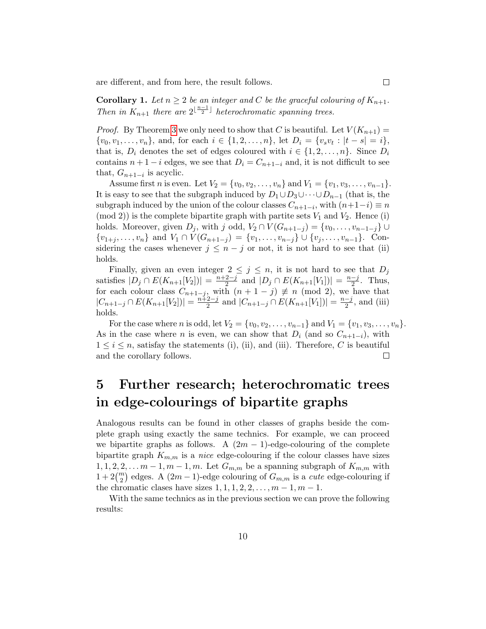are different, and from here, the result follows.

**Corollary 1.** Let  $n \geq 2$  be an integer and C be the graceful colouring of  $K_{n+1}$ . Then in  $K_{n+1}$  there are  $2^{\lfloor \frac{n-1}{2} \rfloor}$  heterochromatic spanning trees.

*Proof.* By Theorem [3](#page-7-1) we only need to show that C is beautiful. Let  $V(K_{n+1}) =$  $\{v_0, v_1, \ldots, v_n\}$ , and, for each  $i \in \{1, 2, \ldots, n\}$ , let  $D_i = \{v_s v_t : |t - s| = i\}$ , that is,  $D_i$  denotes the set of edges coloured with  $i \in \{1, 2, ..., n\}$ . Since  $D_i$ contains  $n + 1 - i$  edges, we see that  $D_i = C_{n+1-i}$  and, it is not difficult to see that,  $G_{n+1-i}$  is acyclic.

Assume first *n* is even. Let  $V_2 = \{v_0, v_2, \ldots, v_n\}$  and  $V_1 = \{v_1, v_3, \ldots, v_{n-1}\}.$ It is easy to see that the subgraph induced by  $D_1 \cup D_3 \cup \cdots \cup D_{n-1}$  (that is, the subgraph induced by the union of the colour classes  $C_{n+1-i}$ , with  $(n+1-i) \equiv n$  $p(\text{mod } 2)$  is the complete bipartite graph with partite sets  $V_1$  and  $V_2$ . Hence (i) holds. Moreover, given  $D_i$ , with j odd,  $V_2 \cap V(G_{n+1-j}) = \{v_0, \ldots, v_{n-1-j}\} \cup$  $\{v_{1+j}, \ldots, v_n\}$  and  $V_1 \cap V(G_{n+1-j}) = \{v_1, \ldots, v_{n-j}\} \cup \{v_j, \ldots, v_{n-1}\}.$  Considering the cases whenever  $j \leq n - j$  or not, it is not hard to see that (ii) holds.

Finally, given an even integer  $2 \leq j \leq n$ , it is not hard to see that  $D_j$ satisfies  $|D_j \cap E(K_{n+1}[V_2])| = \frac{n+2-j}{2}$  $\frac{2-j}{2}$  and  $|D_j \cap E(K_{n+1}[V_1])| = \frac{n-j}{2}$  $\frac{-j}{2}$ . Thus, for each colour class  $C_{n+1-j}$ , with  $(n+1-j) \not\equiv n \pmod{2}$ , we have that  $|C_{n+1-j} \cap E(K_{n+1}[V_2])| = \frac{n+2-j}{2}$  $\frac{2-j}{2}$  and  $|C_{n+1-j} \cap E(K_{n+1}[V_1])| = \frac{n-j}{2}$  $\frac{-j}{2}$ , and (iii) holds.

For the case where *n* is odd, let  $V_2 = \{v_0, v_2, \ldots, v_{n-1}\}\$  and  $V_1 = \{v_1, v_3, \ldots, v_n\}.$ As in the case where n is even, we can show that  $D_i$  (and so  $C_{n+1-i}$ ), with  $1 \leq i \leq n$ , satisfay the statements (i), (ii), and (iii). Therefore, C is beautiful and the corollary follows.  $\Box$ 

## 5 Further research; heterochromatic trees in edge-colourings of bipartite graphs

Analogous results can be found in other classes of graphs beside the complete graph using exactly the same technics. For example, we can proceed we bipartite graphs as follows. A  $(2m - 1)$ -edge-colouring of the complete bipartite graph  $K_{m,m}$  is a nice edge-colouring if the colour classes have sizes  $1, 1, 2, 2, \ldots m-1, m-1, m$ . Let  $G_{m,m}$  be a spanning subgraph of  $K_{m,m}$  with  $1+2\binom{m}{2}$  edges. A  $(2m-1)$ -edge colouring of  $G_{m,m}$  is a *cute* edge-colouring if the chromatic clases have sizes  $1, 1, 1, 2, 2, \ldots, m-1, m-1$ .

With the same technics as in the previous section we can prove the following results: